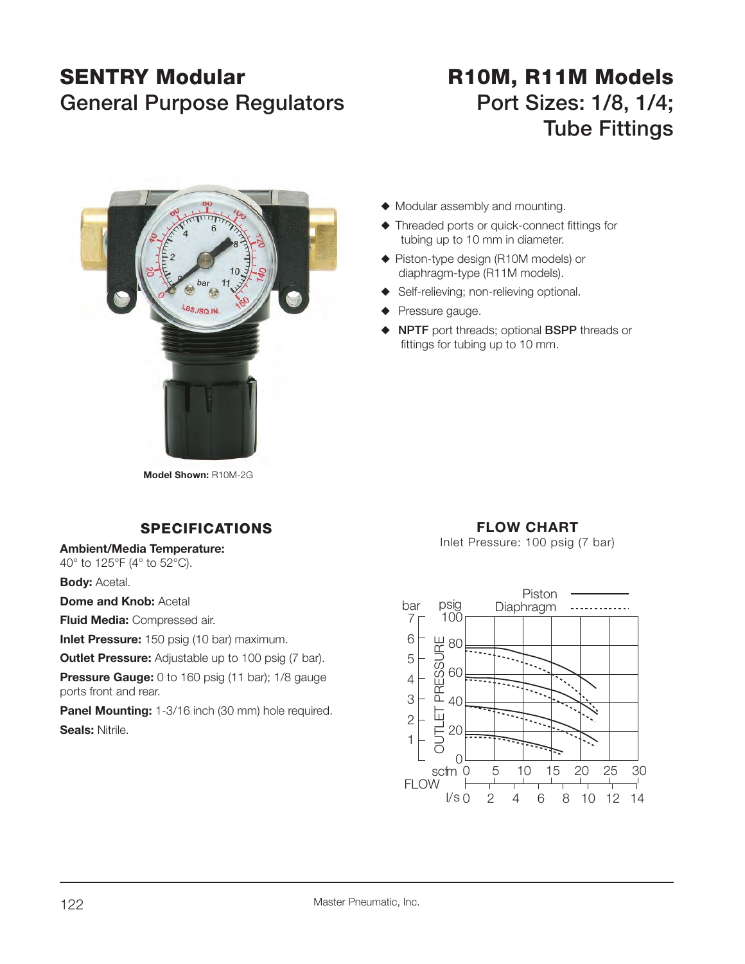## **SENTRY Modular**General Purpose Regulators **Port Sizes: 1/8, 1/4;**

# **R10M, R11M Models Tube Fittings**



 $\blacklozenge$  Modular assembly and mounting.

- $\blacklozenge$  Threaded ports or quick-connect fittings for tubing up to 10 mm in diameter.
- ◆ Piston-type design (R10M models) or diaphragm-type (R11M models).
- $\blacklozenge$  Self-relieving; non-relieving optional.
- Pressure gauge.
- ◆ NPTF port threads; optional BSPP threads or fittings for tubing up to 10 mm.

**Model Shown:** R10M-2G

### **SPECIFICATIONS**

#### **Ambient/Media Temperature:**

40° to 125°F (4° to 52°C).

**Body: Acetal.** 

**Dome and Knob: Acetal** 

**Fluid Media:** Compressed air.

**Inlet Pressure:** 150 psig (10 bar) maximum.

**Outlet Pressure:** Adjustable up to 100 psig (7 bar).

**Pressure Gauge:** 0 to 160 psig (11 bar); 1/8 gauge ports front and rear.

**Panel Mounting:** 1-3/16 inch (30 mm) hole required. **Seals:** Nitrile.

### **FLOW CHART**

Inlet Pressure: 100 psig (7 bar)